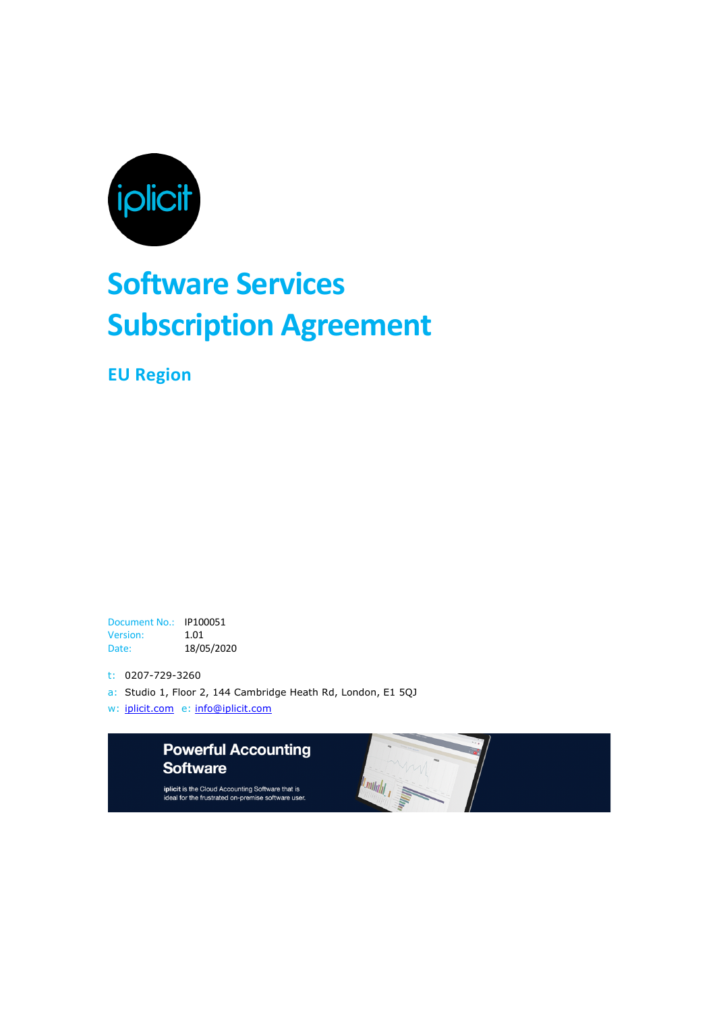

# **Software Services Subscription Agreement**

**EU Region**

Document No.: IP100051 Version: 1.01 Date: 18/05/2020

t: 0207-729-3260

- a: Studio 1, Floor 2, 144 Cambridge Heath Rd, London, E1 5QJ
- w: iplicit.com e: info@iplicit.com



iplicit is the Cloud Accounting Software that is<br>ideal for the frustrated on-premise software user.

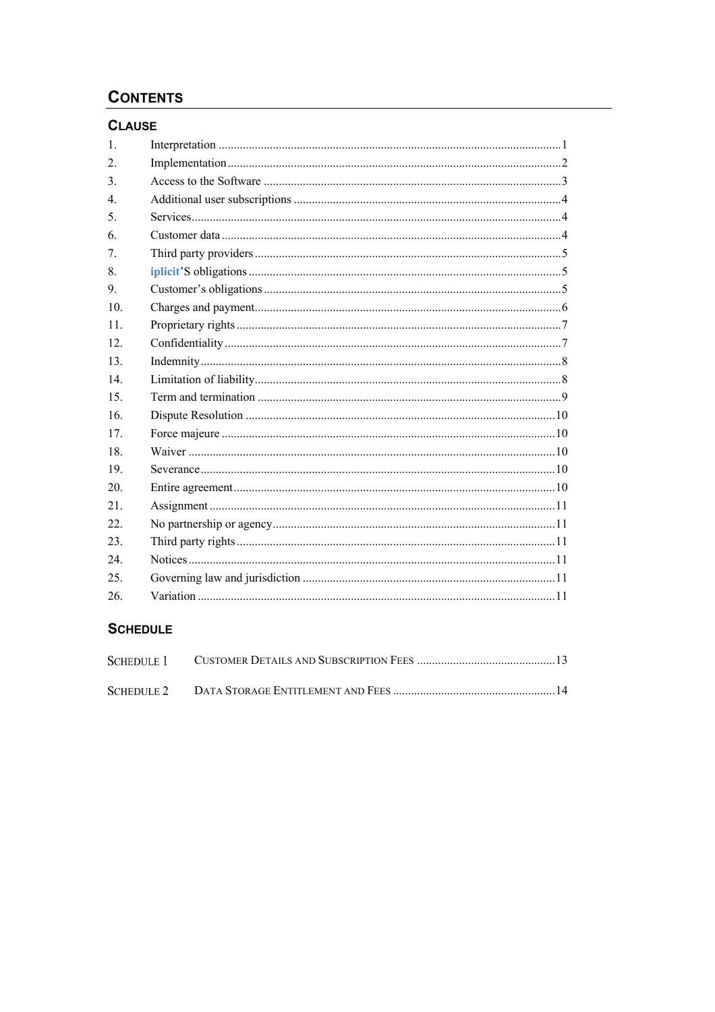# **CONTENTS**

# **CLAUSE**

| 1.               |  |
|------------------|--|
| 2.               |  |
| 3.               |  |
| $\overline{4}$ . |  |
| 5.               |  |
| 6.               |  |
| 7.               |  |
| 8.               |  |
| 9.               |  |
| 10.              |  |
| 11.              |  |
| 12.              |  |
| 13.              |  |
| 14               |  |
| 15.              |  |
| 16.              |  |
| 17.              |  |
| 18.              |  |
| 19.              |  |
| 20.              |  |
| 21.              |  |
| 22.              |  |
| 23.              |  |
| 24.              |  |
| 25.              |  |
| 26.              |  |
|                  |  |

# **SCHEDULE**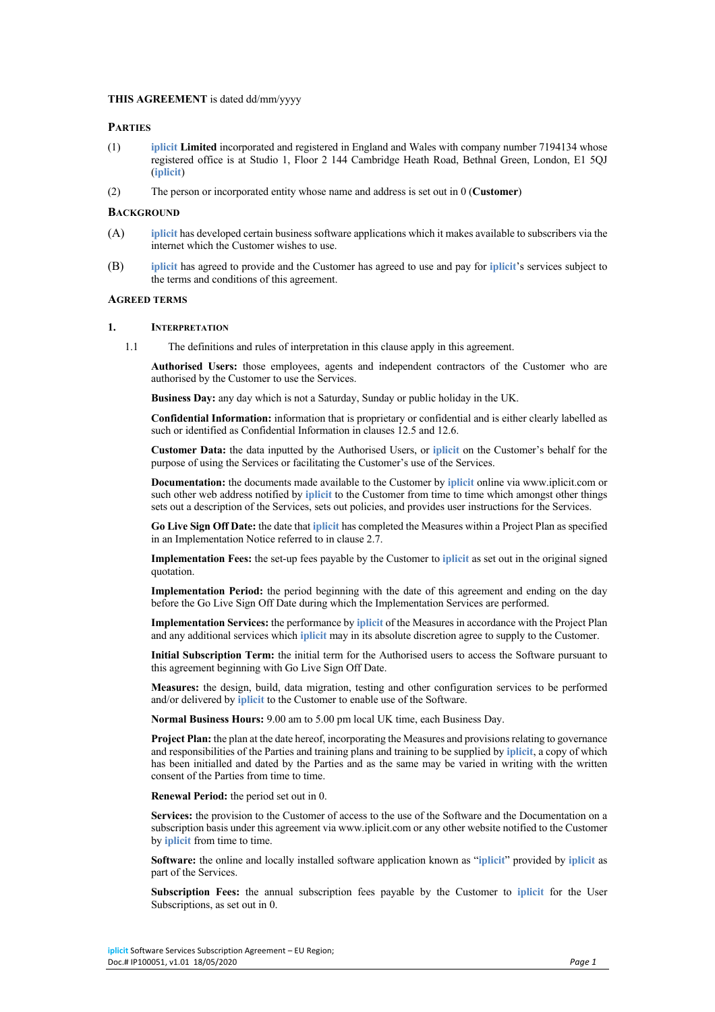# **THIS AGREEMENT** is dated dd/mm/yyyy

# **PARTIES**

- (1) **iplicit Limited** incorporated and registered in England and Wales with company number 7194134 whose registered office is at Studio 1, Floor 2 144 Cambridge Heath Road, Bethnal Green, London, E1 5QJ (**iplicit**)
- (2) The person or incorporated entity whose name and address is set out in 0 (**Customer**)

#### **BACKGROUND**

- (A) **iplicit** has developed certain business software applications which it makes available to subscribers via the internet which the Customer wishes to use.
- (B) **iplicit** has agreed to provide and the Customer has agreed to use and pay for **iplicit**'s services subject to the terms and conditions of this agreement.

#### **AGREED TERMS**

#### **1. INTERPRETATION**

1.1 The definitions and rules of interpretation in this clause apply in this agreement.

**Authorised Users:** those employees, agents and independent contractors of the Customer who are authorised by the Customer to use the Services.

**Business Day:** any day which is not a Saturday, Sunday or public holiday in the UK.

**Confidential Information:** information that is proprietary or confidential and is either clearly labelled as such or identified as Confidential Information in clauses 12.5 and 12.6.

**Customer Data:** the data inputted by the Authorised Users, or **iplicit** on the Customer's behalf for the purpose of using the Services or facilitating the Customer's use of the Services.

**Documentation:** the documents made available to the Customer by **iplicit** online via www.iplicit.com or such other web address notified by **iplicit** to the Customer from time to time which amongst other things sets out a description of the Services, sets out policies, and provides user instructions for the Services.

**Go Live Sign Off Date:** the date that **iplicit** has completed the Measures within a Project Plan as specified in an Implementation Notice referred to in clause 2.7.

**Implementation Fees:** the set-up fees payable by the Customer to **iplicit** as set out in the original signed quotation.

**Implementation Period:** the period beginning with the date of this agreement and ending on the day before the Go Live Sign Off Date during which the Implementation Services are performed.

**Implementation Services:** the performance by **iplicit** of the Measures in accordance with the Project Plan and any additional services which **iplicit** may in its absolute discretion agree to supply to the Customer.

**Initial Subscription Term:** the initial term for the Authorised users to access the Software pursuant to this agreement beginning with Go Live Sign Off Date.

**Measures:** the design, build, data migration, testing and other configuration services to be performed and/or delivered by **iplicit** to the Customer to enable use of the Software.

**Normal Business Hours:** 9.00 am to 5.00 pm local UK time, each Business Day.

**Project Plan:** the plan at the date hereof, incorporating the Measures and provisions relating to governance and responsibilities of the Parties and training plans and training to be supplied by **iplicit**, a copy of which has been initialled and dated by the Parties and as the same may be varied in writing with the written consent of the Parties from time to time.

**Renewal Period:** the period set out in 0.

**Services:** the provision to the Customer of access to the use of the Software and the Documentation on a subscription basis under this agreement via www.iplicit.com or any other website notified to the Customer by **iplicit** from time to time.

**Software:** the online and locally installed software application known as "**iplicit**" provided by **iplicit** as part of the Services.

**Subscription Fees:** the annual subscription fees payable by the Customer to **iplicit** for the User Subscriptions, as set out in 0.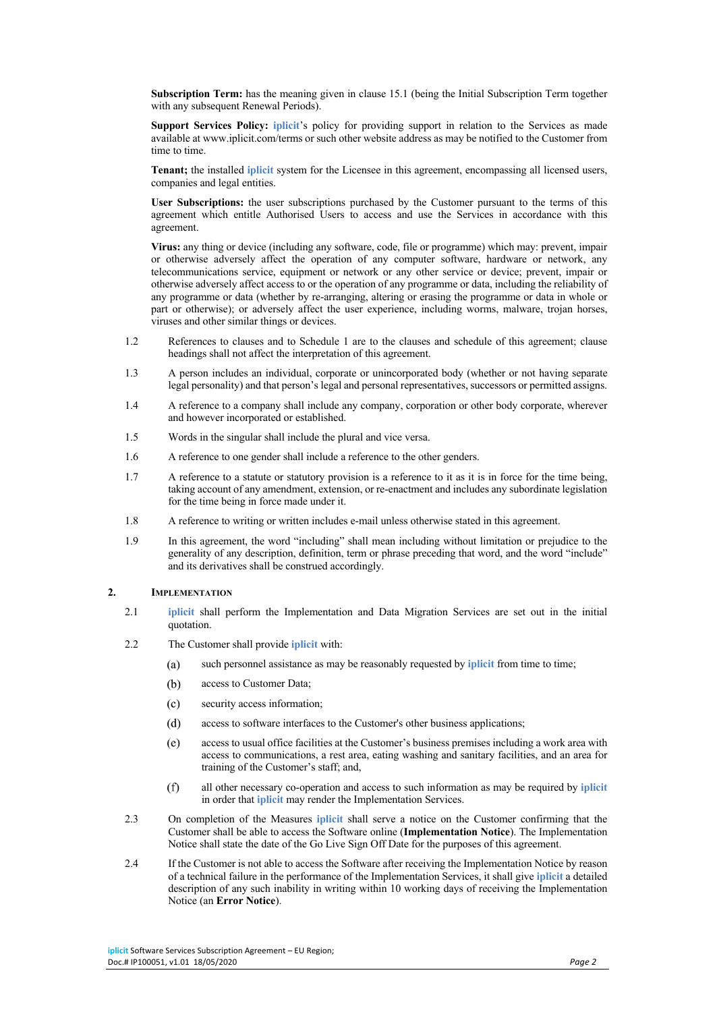**Subscription Term:** has the meaning given in clause 15.1 (being the Initial Subscription Term together with any subsequent Renewal Periods).

**Support Services Policy: iplicit**'s policy for providing support in relation to the Services as made available at www.iplicit.com/terms or such other website address as may be notified to the Customer from time to time.

**Tenant;** the installed **iplicit** system for the Licensee in this agreement, encompassing all licensed users, companies and legal entities.

**User Subscriptions:** the user subscriptions purchased by the Customer pursuant to the terms of this agreement which entitle Authorised Users to access and use the Services in accordance with this agreement.

**Virus:** any thing or device (including any software, code, file or programme) which may: prevent, impair or otherwise adversely affect the operation of any computer software, hardware or network, any telecommunications service, equipment or network or any other service or device; prevent, impair or otherwise adversely affect access to or the operation of any programme or data, including the reliability of any programme or data (whether by re-arranging, altering or erasing the programme or data in whole or part or otherwise); or adversely affect the user experience, including worms, malware, trojan horses, viruses and other similar things or devices.

- 1.2 References to clauses and to Schedule 1 are to the clauses and schedule of this agreement; clause headings shall not affect the interpretation of this agreement.
- 1.3 A person includes an individual, corporate or unincorporated body (whether or not having separate legal personality) and that person's legal and personal representatives, successors or permitted assigns.
- 1.4 A reference to a company shall include any company, corporation or other body corporate, wherever and however incorporated or established.
- 1.5 Words in the singular shall include the plural and vice versa.
- 1.6 A reference to one gender shall include a reference to the other genders.
- 1.7 A reference to a statute or statutory provision is a reference to it as it is in force for the time being, taking account of any amendment, extension, or re-enactment and includes any subordinate legislation for the time being in force made under it.
- 1.8 A reference to writing or written includes e-mail unless otherwise stated in this agreement.
- 1.9 In this agreement, the word "including" shall mean including without limitation or prejudice to the generality of any description, definition, term or phrase preceding that word, and the word "include" and its derivatives shall be construed accordingly.

#### **2. IMPLEMENTATION**

- 2.1 **iplicit** shall perform the Implementation and Data Migration Services are set out in the initial quotation.
- 2.2 The Customer shall provide **iplicit** with:
	- $(a)$ such personnel assistance as may be reasonably requested by **iplicit** from time to time;
	- $(b)$ access to Customer Data;
	- $(c)$ security access information;
	- $(d)$ access to software interfaces to the Customer's other business applications;
	- $(e)$ access to usual office facilities at the Customer's business premises including a work area with access to communications, a rest area, eating washing and sanitary facilities, and an area for training of the Customer's staff; and,
	- $(f)$ all other necessary co-operation and access to such information as may be required by **iplicit** in order that **iplicit** may render the Implementation Services.
- 2.3 On completion of the Measures **iplicit** shall serve a notice on the Customer confirming that the Customer shall be able to access the Software online (**Implementation Notice**). The Implementation Notice shall state the date of the Go Live Sign Off Date for the purposes of this agreement.
- 2.4 If the Customer is not able to access the Software after receiving the Implementation Notice by reason of a technical failure in the performance of the Implementation Services, it shall give **iplicit** a detailed description of any such inability in writing within 10 working days of receiving the Implementation Notice (an **Error Notice**).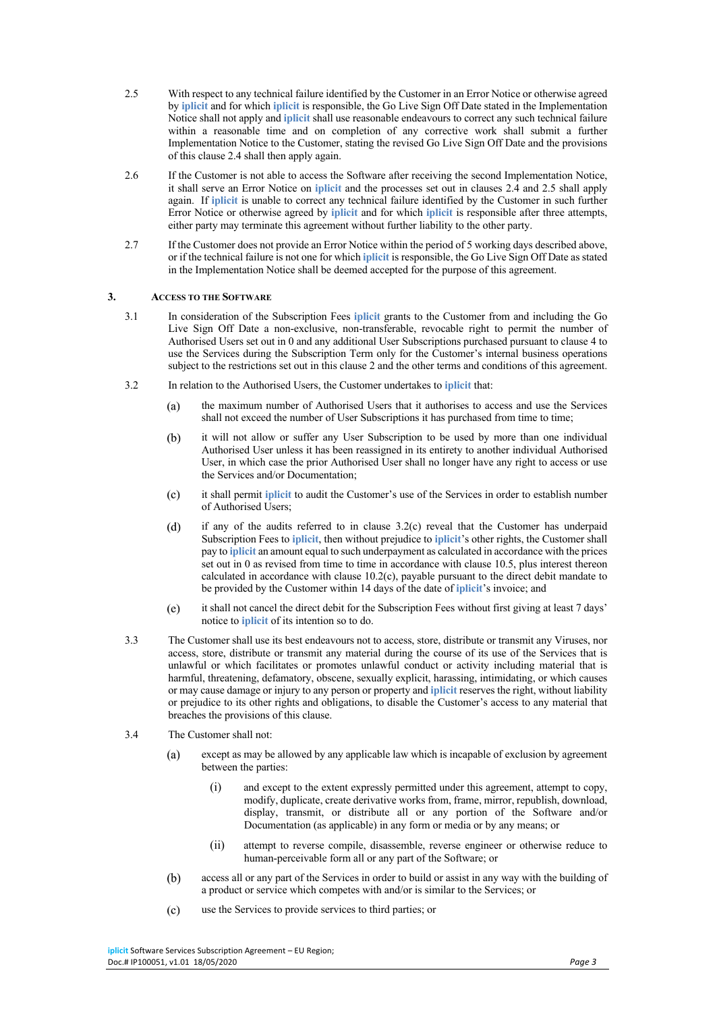- 2.5 With respect to any technical failure identified by the Customer in an Error Notice or otherwise agreed by **iplicit** and for which **iplicit** is responsible, the Go Live Sign Off Date stated in the Implementation Notice shall not apply and **iplicit** shall use reasonable endeavours to correct any such technical failure within a reasonable time and on completion of any corrective work shall submit a further Implementation Notice to the Customer, stating the revised Go Live Sign Off Date and the provisions of this clause 2.4 shall then apply again.
- 2.6 If the Customer is not able to access the Software after receiving the second Implementation Notice, it shall serve an Error Notice on **iplicit** and the processes set out in clauses 2.4 and 2.5 shall apply again. If **iplicit** is unable to correct any technical failure identified by the Customer in such further Error Notice or otherwise agreed by **iplicit** and for which **iplicit** is responsible after three attempts, either party may terminate this agreement without further liability to the other party.
- 2.7 If the Customer does not provide an Error Notice within the period of 5 working days described above, or if the technical failure is not one for which **iplicit** is responsible, the Go Live Sign Off Date as stated in the Implementation Notice shall be deemed accepted for the purpose of this agreement.

#### **3. ACCESS TO THE SOFTWARE**

- 3.1 In consideration of the Subscription Fees **iplicit** grants to the Customer from and including the Go Live Sign Off Date a non-exclusive, non-transferable, revocable right to permit the number of Authorised Users set out in 0 and any additional User Subscriptions purchased pursuant to clause 4 to use the Services during the Subscription Term only for the Customer's internal business operations subject to the restrictions set out in this clause 2 and the other terms and conditions of this agreement.
- 3.2 In relation to the Authorised Users, the Customer undertakes to **iplicit** that:
	- $(a)$ the maximum number of Authorised Users that it authorises to access and use the Services shall not exceed the number of User Subscriptions it has purchased from time to time;
	- $(b)$ it will not allow or suffer any User Subscription to be used by more than one individual Authorised User unless it has been reassigned in its entirety to another individual Authorised User, in which case the prior Authorised User shall no longer have any right to access or use the Services and/or Documentation;
	- it shall permit **iplicit** to audit the Customer's use of the Services in order to establish number  $(c)$ of Authorised Users;
	- if any of the audits referred to in clause 3.2(c) reveal that the Customer has underpaid  $(d)$ Subscription Fees to **iplicit**, then without prejudice to **iplicit**'s other rights, the Customer shall pay to **iplicit** an amount equal to such underpayment as calculated in accordance with the prices set out in 0 as revised from time to time in accordance with clause 10.5, plus interest thereon calculated in accordance with clause 10.2(c), payable pursuant to the direct debit mandate to be provided by the Customer within 14 days of the date of **iplicit**'s invoice; and
	- $(e)$ it shall not cancel the direct debit for the Subscription Fees without first giving at least 7 days' notice to **iplicit** of its intention so to do.
- 3.3 The Customer shall use its best endeavours not to access, store, distribute or transmit any Viruses, nor access, store, distribute or transmit any material during the course of its use of the Services that is unlawful or which facilitates or promotes unlawful conduct or activity including material that is harmful, threatening, defamatory, obscene, sexually explicit, harassing, intimidating, or which causes or may cause damage or injury to any person or property and **iplicit** reserves the right, without liability or prejudice to its other rights and obligations, to disable the Customer's access to any material that breaches the provisions of this clause.
- 3.4 The Customer shall not:
	- $(a)$ except as may be allowed by any applicable law which is incapable of exclusion by agreement between the parties:
		- (i) and except to the extent expressly permitted under this agreement, attempt to copy, modify, duplicate, create derivative works from, frame, mirror, republish, download, display, transmit, or distribute all or any portion of the Software and/or Documentation (as applicable) in any form or media or by any means; or
		- (ii) attempt to reverse compile, disassemble, reverse engineer or otherwise reduce to human-perceivable form all or any part of the Software; or
	- $(b)$ access all or any part of the Services in order to build or assist in any way with the building of a product or service which competes with and/or is similar to the Services; or
	- $(c)$ use the Services to provide services to third parties; or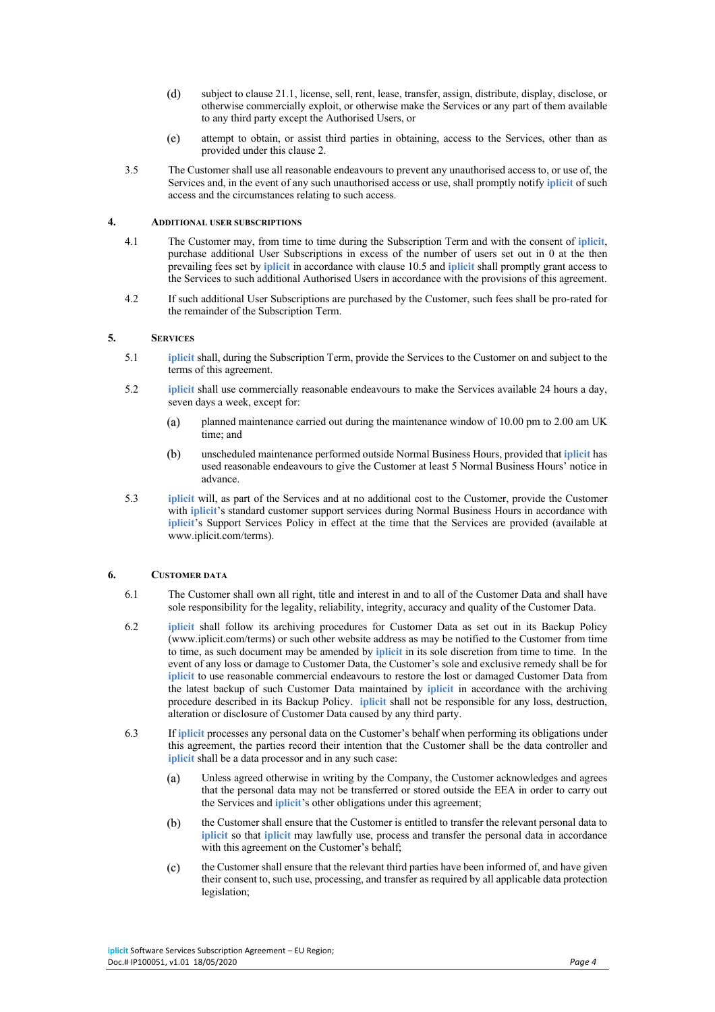- $(d)$ subject to clause 21.1, license, sell, rent, lease, transfer, assign, distribute, display, disclose, or otherwise commercially exploit, or otherwise make the Services or any part of them available to any third party except the Authorised Users, or
- $(e)$ attempt to obtain, or assist third parties in obtaining, access to the Services, other than as provided under this clause 2.
- 3.5 The Customer shall use all reasonable endeavours to prevent any unauthorised access to, or use of, the Services and, in the event of any such unauthorised access or use, shall promptly notify **iplicit** of such access and the circumstances relating to such access.

#### **4. ADDITIONAL USER SUBSCRIPTIONS**

- 4.1 The Customer may, from time to time during the Subscription Term and with the consent of **iplicit**, purchase additional User Subscriptions in excess of the number of users set out in 0 at the then prevailing fees set by **iplicit** in accordance with clause 10.5 and **iplicit** shall promptly grant access to the Services to such additional Authorised Users in accordance with the provisions of this agreement.
- 4.2 If such additional User Subscriptions are purchased by the Customer, such fees shall be pro-rated for the remainder of the Subscription Term.

#### **5. SERVICES**

- 5.1 **iplicit** shall, during the Subscription Term, provide the Services to the Customer on and subject to the terms of this agreement.
- 5.2 **iplicit** shall use commercially reasonable endeavours to make the Services available 24 hours a day, seven days a week, except for:
	- $(a)$ planned maintenance carried out during the maintenance window of 10.00 pm to 2.00 am UK time; and
	- $(b)$ unscheduled maintenance performed outside Normal Business Hours, provided that **iplicit** has used reasonable endeavours to give the Customer at least 5 Normal Business Hours' notice in advance.
- 5.3 **iplicit** will, as part of the Services and at no additional cost to the Customer, provide the Customer with *iplicit*'s standard customer support services during Normal Business Hours in accordance with **iplicit**'s Support Services Policy in effect at the time that the Services are provided (available at www.iplicit.com/terms).

# **6. CUSTOMER DATA**

- 6.1 The Customer shall own all right, title and interest in and to all of the Customer Data and shall have sole responsibility for the legality, reliability, integrity, accuracy and quality of the Customer Data.
- 6.2 **iplicit** shall follow its archiving procedures for Customer Data as set out in its Backup Policy (www.iplicit.com/terms) or such other website address as may be notified to the Customer from time to time, as such document may be amended by **iplicit** in its sole discretion from time to time. In the event of any loss or damage to Customer Data, the Customer's sole and exclusive remedy shall be for **iplicit** to use reasonable commercial endeavours to restore the lost or damaged Customer Data from the latest backup of such Customer Data maintained by **iplicit** in accordance with the archiving procedure described in its Backup Policy. **iplicit** shall not be responsible for any loss, destruction, alteration or disclosure of Customer Data caused by any third party.
- 6.3 If **iplicit** processes any personal data on the Customer's behalf when performing its obligations under this agreement, the parties record their intention that the Customer shall be the data controller and **iplicit** shall be a data processor and in any such case:
	- Unless agreed otherwise in writing by the Company, the Customer acknowledges and agrees  $(a)$ that the personal data may not be transferred or stored outside the EEA in order to carry out the Services and **iplicit**'s other obligations under this agreement;
	- $(b)$ the Customer shall ensure that the Customer is entitled to transfer the relevant personal data to **iplicit** so that **iplicit** may lawfully use, process and transfer the personal data in accordance with this agreement on the Customer's behalf;
	- $(c)$ the Customer shall ensure that the relevant third parties have been informed of, and have given their consent to, such use, processing, and transfer as required by all applicable data protection legislation;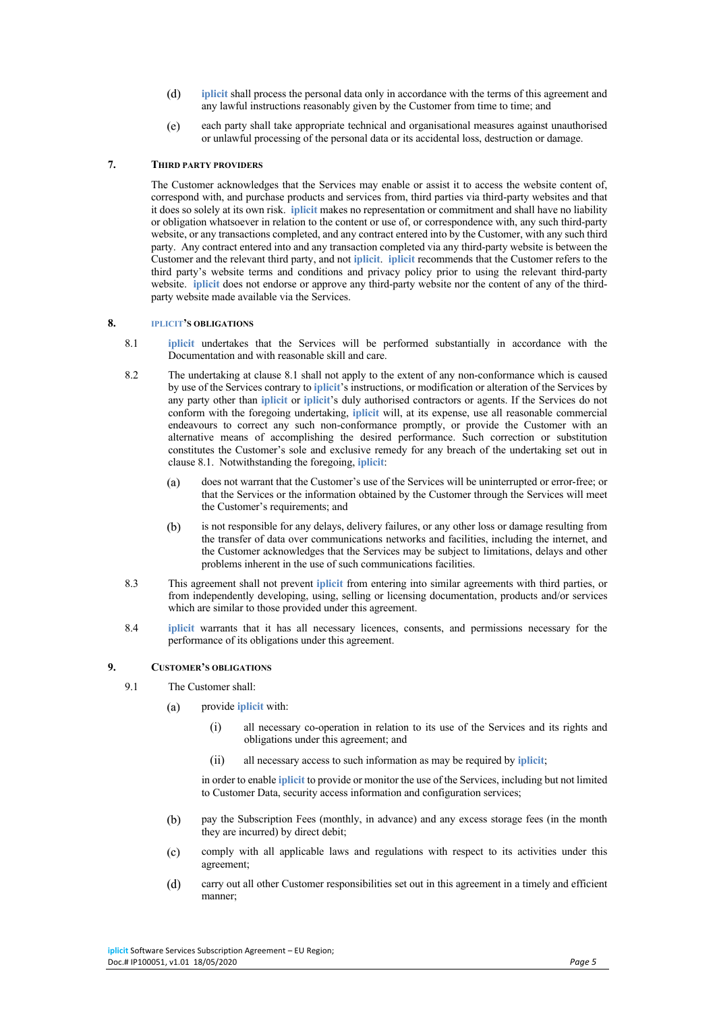- $(d)$ **iplicit** shall process the personal data only in accordance with the terms of this agreement and any lawful instructions reasonably given by the Customer from time to time; and
- each party shall take appropriate technical and organisational measures against unauthorised  $(e)$ or unlawful processing of the personal data or its accidental loss, destruction or damage.

# **7. THIRD PARTY PROVIDERS**

The Customer acknowledges that the Services may enable or assist it to access the website content of, correspond with, and purchase products and services from, third parties via third-party websites and that it does so solely at its own risk. **iplicit** makes no representation or commitment and shall have no liability or obligation whatsoever in relation to the content or use of, or correspondence with, any such third-party website, or any transactions completed, and any contract entered into by the Customer, with any such third party. Any contract entered into and any transaction completed via any third-party website is between the Customer and the relevant third party, and not **iplicit**. **iplicit** recommends that the Customer refers to the third party's website terms and conditions and privacy policy prior to using the relevant third-party website. **iplicit** does not endorse or approve any third-party website nor the content of any of the thirdparty website made available via the Services.

## **8. IPLICIT'S OBLIGATIONS**

- 8.1 **iplicit** undertakes that the Services will be performed substantially in accordance with the Documentation and with reasonable skill and care.
- 8.2 The undertaking at clause 8.1 shall not apply to the extent of any non-conformance which is caused by use of the Services contrary to **iplicit**'s instructions, or modification or alteration of the Services by any party other than **iplicit** or **iplicit**'s duly authorised contractors or agents. If the Services do not conform with the foregoing undertaking, **iplicit** will, at its expense, use all reasonable commercial endeavours to correct any such non-conformance promptly, or provide the Customer with an alternative means of accomplishing the desired performance. Such correction or substitution constitutes the Customer's sole and exclusive remedy for any breach of the undertaking set out in clause 8.1. Notwithstanding the foregoing, **iplicit**:
	- $(a)$ does not warrant that the Customer's use of the Services will be uninterrupted or error-free; or that the Services or the information obtained by the Customer through the Services will meet the Customer's requirements; and
	- is not responsible for any delays, delivery failures, or any other loss or damage resulting from  $(b)$ the transfer of data over communications networks and facilities, including the internet, and the Customer acknowledges that the Services may be subject to limitations, delays and other problems inherent in the use of such communications facilities.
- 8.3 This agreement shall not prevent **iplicit** from entering into similar agreements with third parties, or from independently developing, using, selling or licensing documentation, products and/or services which are similar to those provided under this agreement.
- 8.4 **iplicit** warrants that it has all necessary licences, consents, and permissions necessary for the performance of its obligations under this agreement.

## **9. CUSTOMER'S OBLIGATIONS**

- 9.1 The Customer shall:
	- provide **iplicit** with:  $(a)$ 
		- (i) all necessary co-operation in relation to its use of the Services and its rights and obligations under this agreement; and
		- (ii) all necessary access to such information as may be required by **iplicit**;

in order to enable **iplicit** to provide or monitor the use of the Services, including but not limited to Customer Data, security access information and configuration services;

- $(b)$ pay the Subscription Fees (monthly, in advance) and any excess storage fees (in the month they are incurred) by direct debit;
- $(c)$ comply with all applicable laws and regulations with respect to its activities under this agreement;
- $(d)$ carry out all other Customer responsibilities set out in this agreement in a timely and efficient manner;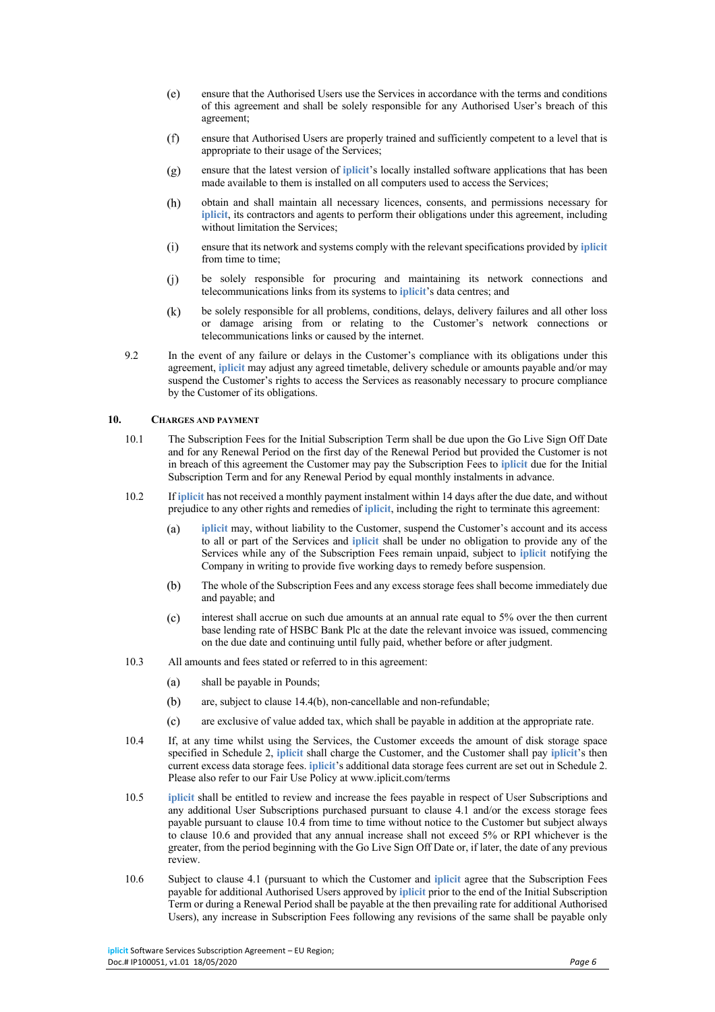- $(e)$ ensure that the Authorised Users use the Services in accordance with the terms and conditions of this agreement and shall be solely responsible for any Authorised User's breach of this agreement;
- $(f)$ ensure that Authorised Users are properly trained and sufficiently competent to a level that is appropriate to their usage of the Services;
- ensure that the latest version of **iplicit**'s locally installed software applications that has been  $(g)$ made available to them is installed on all computers used to access the Services;
- $(h)$ obtain and shall maintain all necessary licences, consents, and permissions necessary for **iplicit**, its contractors and agents to perform their obligations under this agreement, including without limitation the Services;
- $(i)$ ensure that its network and systems comply with the relevant specifications provided by **iplicit** from time to time;
- $(i)$ be solely responsible for procuring and maintaining its network connections and telecommunications links from its systems to **iplicit**'s data centres; and
- $(k)$ be solely responsible for all problems, conditions, delays, delivery failures and all other loss or damage arising from or relating to the Customer's network connections or telecommunications links or caused by the internet.
- 9.2 In the event of any failure or delays in the Customer's compliance with its obligations under this agreement, **iplicit** may adjust any agreed timetable, delivery schedule or amounts payable and/or may suspend the Customer's rights to access the Services as reasonably necessary to procure compliance by the Customer of its obligations.

# **10. CHARGES AND PAYMENT**

- 10.1 The Subscription Fees for the Initial Subscription Term shall be due upon the Go Live Sign Off Date and for any Renewal Period on the first day of the Renewal Period but provided the Customer is not in breach of this agreement the Customer may pay the Subscription Fees to **iplicit** due for the Initial Subscription Term and for any Renewal Period by equal monthly instalments in advance.
- 10.2 If **iplicit** has not received a monthly payment instalment within 14 days after the due date, and without prejudice to any other rights and remedies of **iplicit**, including the right to terminate this agreement:
	- **iplicit** may, without liability to the Customer, suspend the Customer's account and its access  $(a)$ to all or part of the Services and **iplicit** shall be under no obligation to provide any of the Services while any of the Subscription Fees remain unpaid, subject to **iplicit** notifying the Company in writing to provide five working days to remedy before suspension.
	- $(b)$ The whole of the Subscription Fees and any excess storage fees shall become immediately due and payable; and
	- $(c)$ interest shall accrue on such due amounts at an annual rate equal to 5% over the then current base lending rate of HSBC Bank Plc at the date the relevant invoice was issued, commencing on the due date and continuing until fully paid, whether before or after judgment.
- 10.3 All amounts and fees stated or referred to in this agreement:
	- $(a)$ shall be payable in Pounds;
	- $(b)$ are, subject to clause 14.4(b), non-cancellable and non-refundable;
	- $(c)$ are exclusive of value added tax, which shall be payable in addition at the appropriate rate.
- 10.4 If, at any time whilst using the Services, the Customer exceeds the amount of disk storage space specified in Schedule 2, **iplicit** shall charge the Customer, and the Customer shall pay **iplicit**'s then current excess data storage fees. **iplicit**'s additional data storage fees current are set out in Schedule 2. Please also refer to our Fair Use Policy at www.iplicit.com/terms
- 10.5 **iplicit** shall be entitled to review and increase the fees payable in respect of User Subscriptions and any additional User Subscriptions purchased pursuant to clause 4.1 and/or the excess storage fees payable pursuant to clause 10.4 from time to time without notice to the Customer but subject always to clause 10.6 and provided that any annual increase shall not exceed 5% or RPI whichever is the greater, from the period beginning with the Go Live Sign Off Date or, if later, the date of any previous review.
- 10.6 Subject to clause 4.1 (pursuant to which the Customer and **iplicit** agree that the Subscription Fees payable for additional Authorised Users approved by **iplicit** prior to the end of the Initial Subscription Term or during a Renewal Period shall be payable at the then prevailing rate for additional Authorised Users), any increase in Subscription Fees following any revisions of the same shall be payable only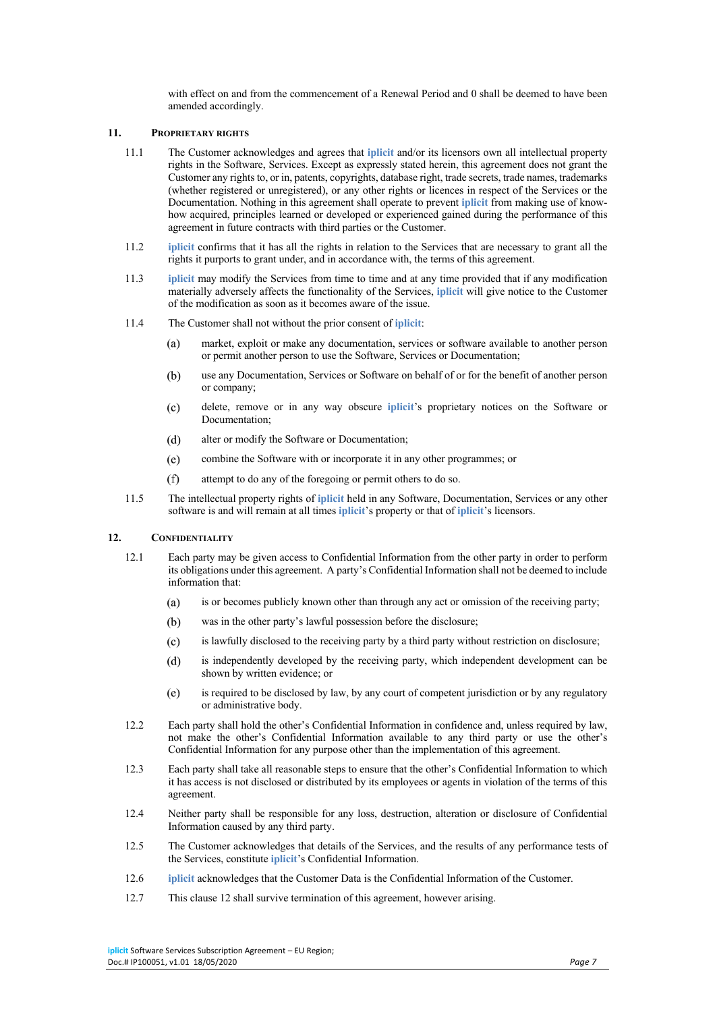with effect on and from the commencement of a Renewal Period and 0 shall be deemed to have been amended accordingly.

# **11. PROPRIETARY RIGHTS**

- 11.1 The Customer acknowledges and agrees that **iplicit** and/or its licensors own all intellectual property rights in the Software, Services. Except as expressly stated herein, this agreement does not grant the Customer any rights to, or in, patents, copyrights, database right, trade secrets, trade names, trademarks (whether registered or unregistered), or any other rights or licences in respect of the Services or the Documentation. Nothing in this agreement shall operate to prevent **iplicit** from making use of knowhow acquired, principles learned or developed or experienced gained during the performance of this agreement in future contracts with third parties or the Customer.
- 11.2 **iplicit** confirms that it has all the rights in relation to the Services that are necessary to grant all the rights it purports to grant under, and in accordance with, the terms of this agreement.
- 11.3 **iplicit** may modify the Services from time to time and at any time provided that if any modification materially adversely affects the functionality of the Services, **iplicit** will give notice to the Customer of the modification as soon as it becomes aware of the issue.
- 11.4 The Customer shall not without the prior consent of **iplicit**:
	- $(a)$ market, exploit or make any documentation, services or software available to another person or permit another person to use the Software, Services or Documentation;
	- $(b)$ use any Documentation, Services or Software on behalf of or for the benefit of another person or company;
	- $(c)$ delete, remove or in any way obscure **iplicit**'s proprietary notices on the Software or Documentation;
	- $(d)$ alter or modify the Software or Documentation;
	- $(e)$ combine the Software with or incorporate it in any other programmes; or
	- $(f)$ attempt to do any of the foregoing or permit others to do so.
- 11.5 The intellectual property rights of **iplicit** held in any Software, Documentation, Services or any other software is and will remain at all times **iplicit**'s property or that of **iplicit**'s licensors.

# **12. CONFIDENTIALITY**

- 12.1 Each party may be given access to Confidential Information from the other party in order to perform its obligations under this agreement. A party's Confidential Information shall not be deemed to include information that:
	- is or becomes publicly known other than through any act or omission of the receiving party;  $(a)$
	- $(b)$ was in the other party's lawful possession before the disclosure;
	- $(c)$ is lawfully disclosed to the receiving party by a third party without restriction on disclosure;
	- $(d)$ is independently developed by the receiving party, which independent development can be shown by written evidence; or
	- $(e)$ is required to be disclosed by law, by any court of competent jurisdiction or by any regulatory or administrative body.
- 12.2 Each party shall hold the other's Confidential Information in confidence and, unless required by law, not make the other's Confidential Information available to any third party or use the other's Confidential Information for any purpose other than the implementation of this agreement.
- 12.3 Each party shall take all reasonable steps to ensure that the other's Confidential Information to which it has access is not disclosed or distributed by its employees or agents in violation of the terms of this agreement.
- 12.4 Neither party shall be responsible for any loss, destruction, alteration or disclosure of Confidential Information caused by any third party.
- 12.5 The Customer acknowledges that details of the Services, and the results of any performance tests of the Services, constitute **iplicit**'s Confidential Information.
- 12.6 **iplicit** acknowledges that the Customer Data is the Confidential Information of the Customer.
- 12.7 This clause 12 shall survive termination of this agreement, however arising.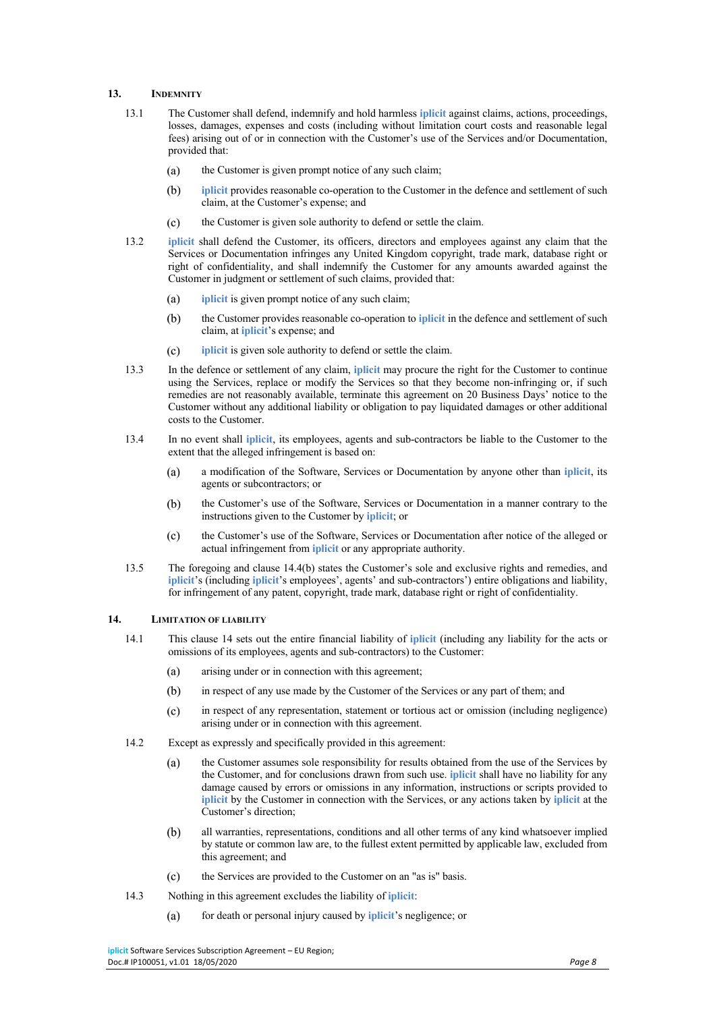# **13. INDEMNITY**

- 13.1 The Customer shall defend, indemnify and hold harmless **iplicit** against claims, actions, proceedings, losses, damages, expenses and costs (including without limitation court costs and reasonable legal fees) arising out of or in connection with the Customer's use of the Services and/or Documentation, provided that:
	- $(a)$ the Customer is given prompt notice of any such claim;
	- $(b)$ **iplicit** provides reasonable co-operation to the Customer in the defence and settlement of such claim, at the Customer's expense; and
	- the Customer is given sole authority to defend or settle the claim.  $(c)$
- 13.2 **iplicit** shall defend the Customer, its officers, directors and employees against any claim that the Services or Documentation infringes any United Kingdom copyright, trade mark, database right or right of confidentiality, and shall indemnify the Customer for any amounts awarded against the Customer in judgment or settlement of such claims, provided that:
	- $(a)$ **iplicit** is given prompt notice of any such claim;
	- $(b)$ the Customer provides reasonable co-operation to **iplicit** in the defence and settlement of such claim, at **iplicit**'s expense; and
	- **iplicit** is given sole authority to defend or settle the claim.  $(c)$
- 13.3 In the defence or settlement of any claim, **iplicit** may procure the right for the Customer to continue using the Services, replace or modify the Services so that they become non-infringing or, if such remedies are not reasonably available, terminate this agreement on 20 Business Days' notice to the Customer without any additional liability or obligation to pay liquidated damages or other additional costs to the Customer.
- 13.4 In no event shall **iplicit**, its employees, agents and sub-contractors be liable to the Customer to the extent that the alleged infringement is based on:
	- a modification of the Software, Services or Documentation by anyone other than **iplicit**, its  $(a)$ agents or subcontractors; or
	- $(b)$ the Customer's use of the Software, Services or Documentation in a manner contrary to the instructions given to the Customer by **iplicit**; or
	- the Customer's use of the Software, Services or Documentation after notice of the alleged or  $(c)$ actual infringement from **iplicit** or any appropriate authority.
- 13.5 The foregoing and clause 14.4(b) states the Customer's sole and exclusive rights and remedies, and **iplicit**'s (including **iplicit**'s employees', agents' and sub-contractors') entire obligations and liability, for infringement of any patent, copyright, trade mark, database right or right of confidentiality.

#### **14. LIMITATION OF LIABILITY**

- 14.1 This clause 14 sets out the entire financial liability of **iplicit** (including any liability for the acts or omissions of its employees, agents and sub-contractors) to the Customer:
	- $(a)$ arising under or in connection with this agreement;
	- $(b)$ in respect of any use made by the Customer of the Services or any part of them; and
	- $(c)$ in respect of any representation, statement or tortious act or omission (including negligence) arising under or in connection with this agreement.
- 14.2 Except as expressly and specifically provided in this agreement:
	- the Customer assumes sole responsibility for results obtained from the use of the Services by  $(a)$ the Customer, and for conclusions drawn from such use. **iplicit** shall have no liability for any damage caused by errors or omissions in any information, instructions or scripts provided to **iplicit** by the Customer in connection with the Services, or any actions taken by **iplicit** at the Customer's direction;
	- $(b)$ all warranties, representations, conditions and all other terms of any kind whatsoever implied by statute or common law are, to the fullest extent permitted by applicable law, excluded from this agreement; and
	- $(c)$ the Services are provided to the Customer on an "as is" basis.
- 14.3 Nothing in this agreement excludes the liability of **iplicit**:
	- for death or personal injury caused by **iplicit**'s negligence; or $(a)$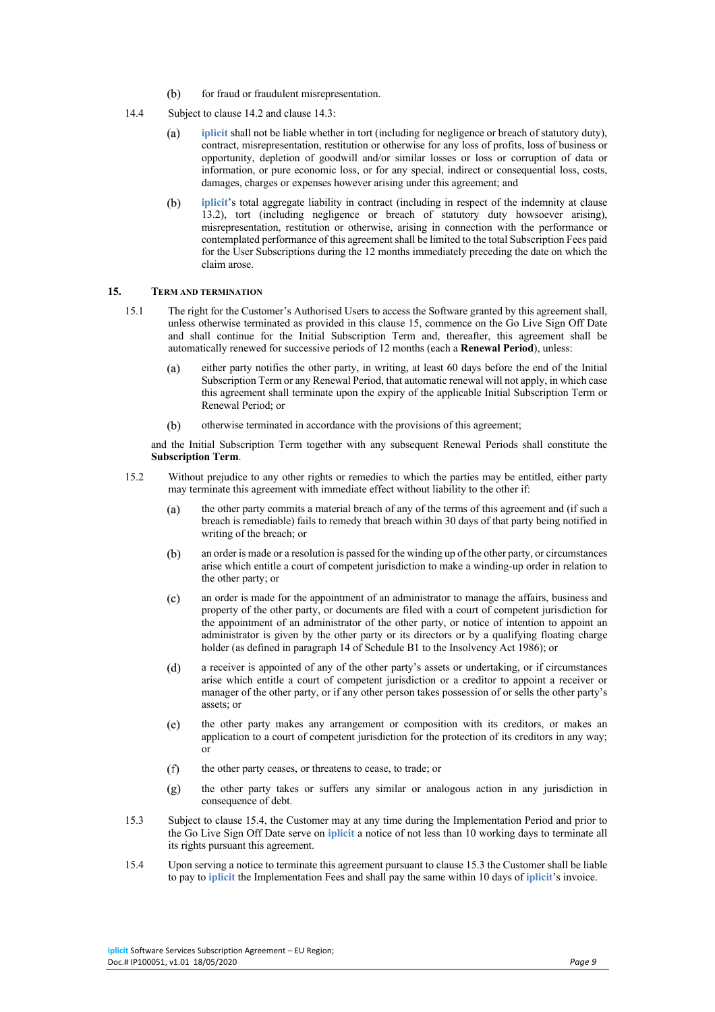- $(b)$ for fraud or fraudulent misrepresentation.
- 14.4 Subject to clause 14.2 and clause 14.3:
	- **iplicit** shall not be liable whether in tort (including for negligence or breach of statutory duty),  $(a)$ contract, misrepresentation, restitution or otherwise for any loss of profits, loss of business or opportunity, depletion of goodwill and/or similar losses or loss or corruption of data or information, or pure economic loss, or for any special, indirect or consequential loss, costs, damages, charges or expenses however arising under this agreement; and
	- **iplicit**'s total aggregate liability in contract (including in respect of the indemnity at clause  $(b)$ 13.2), tort (including negligence or breach of statutory duty howsoever arising), misrepresentation, restitution or otherwise, arising in connection with the performance or contemplated performance of this agreement shall be limited to the total Subscription Fees paid for the User Subscriptions during the 12 months immediately preceding the date on which the claim arose.

## **15. TERM AND TERMINATION**

- 15.1 The right for the Customer's Authorised Users to access the Software granted by this agreement shall, unless otherwise terminated as provided in this clause 15, commence on the Go Live Sign Off Date and shall continue for the Initial Subscription Term and, thereafter, this agreement shall be automatically renewed for successive periods of 12 months (each a **Renewal Period**), unless:
	- either party notifies the other party, in writing, at least 60 days before the end of the Initial  $(a)$ Subscription Term or any Renewal Period, that automatic renewal will not apply, in which case this agreement shall terminate upon the expiry of the applicable Initial Subscription Term or Renewal Period; or
	- $(b)$ otherwise terminated in accordance with the provisions of this agreement;

and the Initial Subscription Term together with any subsequent Renewal Periods shall constitute the **Subscription Term**.

- 15.2 Without prejudice to any other rights or remedies to which the parties may be entitled, either party may terminate this agreement with immediate effect without liability to the other if:
	- $(a)$ the other party commits a material breach of any of the terms of this agreement and (if such a breach is remediable) fails to remedy that breach within 30 days of that party being notified in writing of the breach; or
	- an order is made or a resolution is passed for the winding up of the other party, or circumstances  $(b)$ arise which entitle a court of competent jurisdiction to make a winding-up order in relation to the other party; or
	- an order is made for the appointment of an administrator to manage the affairs, business and  $(c)$ property of the other party, or documents are filed with a court of competent jurisdiction for the appointment of an administrator of the other party, or notice of intention to appoint an administrator is given by the other party or its directors or by a qualifying floating charge holder (as defined in paragraph 14 of Schedule B1 to the Insolvency Act 1986); or
	- $(d)$ a receiver is appointed of any of the other party's assets or undertaking, or if circumstances arise which entitle a court of competent jurisdiction or a creditor to appoint a receiver or manager of the other party, or if any other person takes possession of or sells the other party's assets; or
	- $(e)$ the other party makes any arrangement or composition with its creditors, or makes an application to a court of competent jurisdiction for the protection of its creditors in any way; or
	- $(f)$ the other party ceases, or threatens to cease, to trade; or
	- $(g)$ the other party takes or suffers any similar or analogous action in any jurisdiction in consequence of debt.
- 15.3 Subject to clause 15.4, the Customer may at any time during the Implementation Period and prior to the Go Live Sign Off Date serve on **iplicit** a notice of not less than 10 working days to terminate all its rights pursuant this agreement.
- 15.4 Upon serving a notice to terminate this agreement pursuant to clause 15.3 the Customer shall be liable to pay to **iplicit** the Implementation Fees and shall pay the same within 10 days of **iplicit**'s invoice.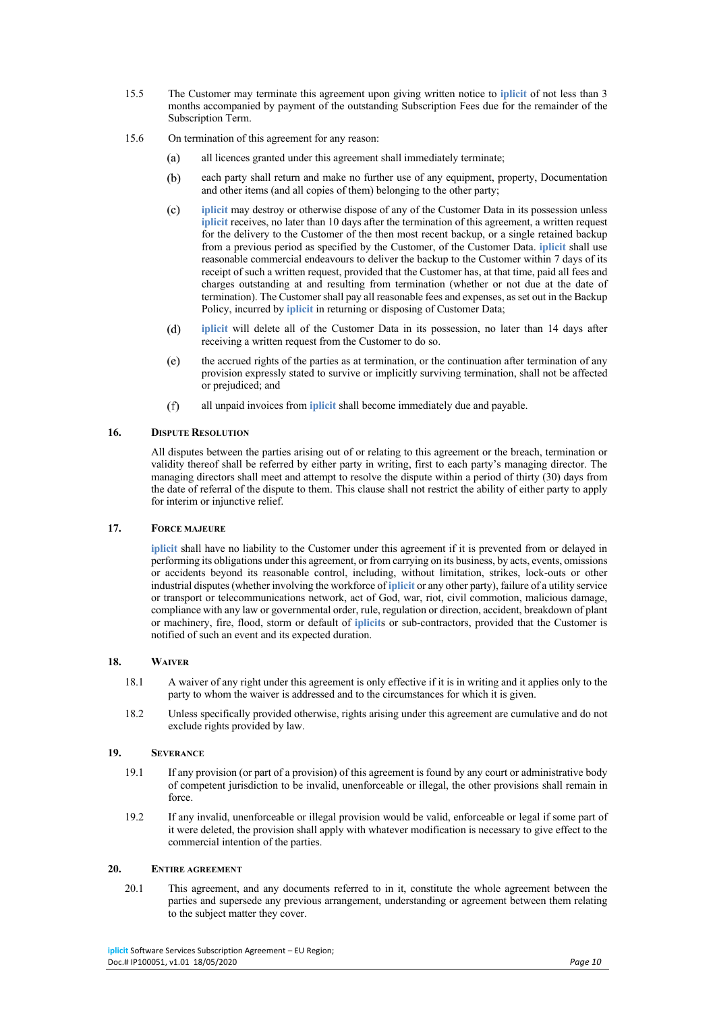- 15.5 The Customer may terminate this agreement upon giving written notice to **iplicit** of not less than 3 months accompanied by payment of the outstanding Subscription Fees due for the remainder of the Subscription Term.
- 15.6 On termination of this agreement for any reason:
	- all licences granted under this agreement shall immediately terminate;  $(a)$
	- $(b)$ each party shall return and make no further use of any equipment, property, Documentation and other items (and all copies of them) belonging to the other party;
	- **iplicit** may destroy or otherwise dispose of any of the Customer Data in its possession unless  $(c)$ **iplicit** receives, no later than 10 days after the termination of this agreement, a written request for the delivery to the Customer of the then most recent backup, or a single retained backup from a previous period as specified by the Customer, of the Customer Data. **iplicit** shall use reasonable commercial endeavours to deliver the backup to the Customer within 7 days of its receipt of such a written request, provided that the Customer has, at that time, paid all fees and charges outstanding at and resulting from termination (whether or not due at the date of termination). The Customer shall pay all reasonable fees and expenses, as set out in the Backup Policy, incurred by **iplicit** in returning or disposing of Customer Data;
	- $(d)$ **iplicit** will delete all of the Customer Data in its possession, no later than 14 days after receiving a written request from the Customer to do so.
	- $(e)$ the accrued rights of the parties as at termination, or the continuation after termination of any provision expressly stated to survive or implicitly surviving termination, shall not be affected or prejudiced; and
	- $(f)$ all unpaid invoices from **iplicit** shall become immediately due and payable.

#### **16. DISPUTE RESOLUTION**

All disputes between the parties arising out of or relating to this agreement or the breach, termination or validity thereof shall be referred by either party in writing, first to each party's managing director. The managing directors shall meet and attempt to resolve the dispute within a period of thirty (30) days from the date of referral of the dispute to them. This clause shall not restrict the ability of either party to apply for interim or injunctive relief.

## **17. FORCE MAJEURE**

**iplicit** shall have no liability to the Customer under this agreement if it is prevented from or delayed in performing its obligations under this agreement, or from carrying on its business, by acts, events, omissions or accidents beyond its reasonable control, including, without limitation, strikes, lock-outs or other industrial disputes (whether involving the workforce of **iplicit** or any other party), failure of a utility service or transport or telecommunications network, act of God, war, riot, civil commotion, malicious damage, compliance with any law or governmental order, rule, regulation or direction, accident, breakdown of plant or machinery, fire, flood, storm or default of **iplicit**s or sub-contractors, provided that the Customer is notified of such an event and its expected duration.

## **18. WAIVER**

- 18.1 A waiver of any right under this agreement is only effective if it is in writing and it applies only to the party to whom the waiver is addressed and to the circumstances for which it is given.
- 18.2 Unless specifically provided otherwise, rights arising under this agreement are cumulative and do not exclude rights provided by law.

#### **19. SEVERANCE**

- 19.1 If any provision (or part of a provision) of this agreement is found by any court or administrative body of competent jurisdiction to be invalid, unenforceable or illegal, the other provisions shall remain in force.
- 19.2 If any invalid, unenforceable or illegal provision would be valid, enforceable or legal if some part of it were deleted, the provision shall apply with whatever modification is necessary to give effect to the commercial intention of the parties.

# **20. ENTIRE AGREEMENT**

20.1 This agreement, and any documents referred to in it, constitute the whole agreement between the parties and supersede any previous arrangement, understanding or agreement between them relating to the subject matter they cover.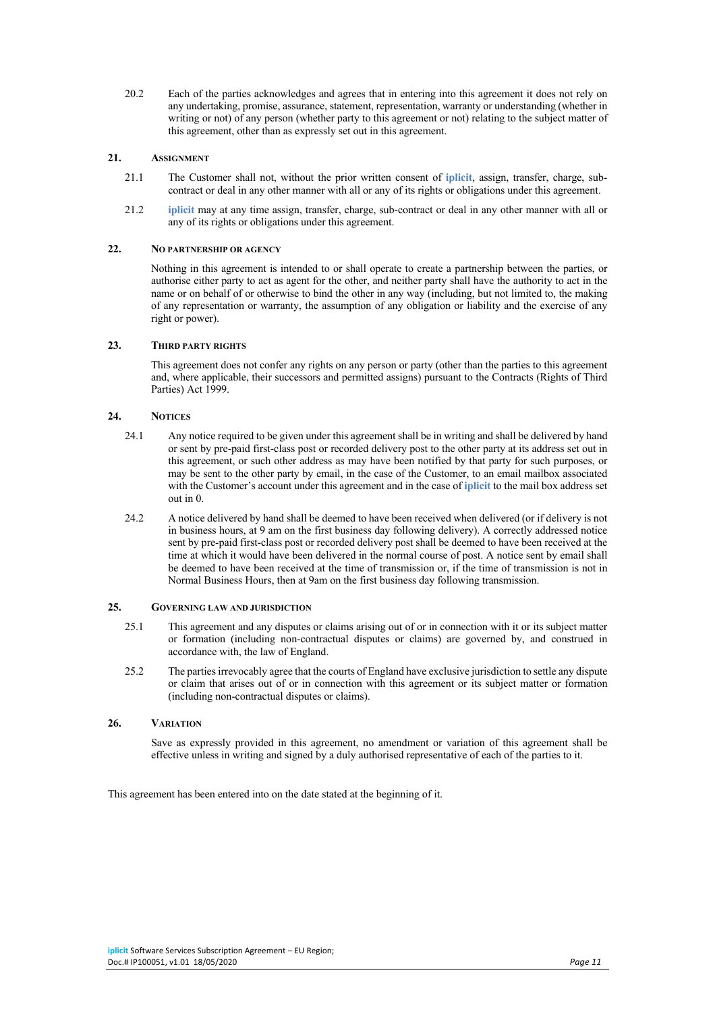20.2 Each of the parties acknowledges and agrees that in entering into this agreement it does not rely on any undertaking, promise, assurance, statement, representation, warranty or understanding (whether in writing or not) of any person (whether party to this agreement or not) relating to the subject matter of this agreement, other than as expressly set out in this agreement.

## **21. ASSIGNMENT**

- 21.1 The Customer shall not, without the prior written consent of **iplicit**, assign, transfer, charge, subcontract or deal in any other manner with all or any of its rights or obligations under this agreement.
- 21.2 **iplicit** may at any time assign, transfer, charge, sub-contract or deal in any other manner with all or any of its rights or obligations under this agreement.

# **22. NO PARTNERSHIP OR AGENCY**

Nothing in this agreement is intended to or shall operate to create a partnership between the parties, or authorise either party to act as agent for the other, and neither party shall have the authority to act in the name or on behalf of or otherwise to bind the other in any way (including, but not limited to, the making of any representation or warranty, the assumption of any obligation or liability and the exercise of any right or power).

### **23. THIRD PARTY RIGHTS**

This agreement does not confer any rights on any person or party (other than the parties to this agreement and, where applicable, their successors and permitted assigns) pursuant to the Contracts (Rights of Third Parties) Act 1999.

# **24. NOTICES**

- 24.1 Any notice required to be given under this agreement shall be in writing and shall be delivered by hand or sent by pre-paid first-class post or recorded delivery post to the other party at its address set out in this agreement, or such other address as may have been notified by that party for such purposes, or may be sent to the other party by email, in the case of the Customer, to an email mailbox associated with the Customer's account under this agreement and in the case of **iplicit** to the mail box address set out in 0.
- 24.2 A notice delivered by hand shall be deemed to have been received when delivered (or if delivery is not in business hours, at 9 am on the first business day following delivery). A correctly addressed notice sent by pre-paid first-class post or recorded delivery post shall be deemed to have been received at the time at which it would have been delivered in the normal course of post. A notice sent by email shall be deemed to have been received at the time of transmission or, if the time of transmission is not in Normal Business Hours, then at 9am on the first business day following transmission.

#### **25. GOVERNING LAW AND JURISDICTION**

- 25.1 This agreement and any disputes or claims arising out of or in connection with it or its subject matter or formation (including non-contractual disputes or claims) are governed by, and construed in accordance with, the law of England.
- 25.2 The parties irrevocably agree that the courts of England have exclusive jurisdiction to settle any dispute or claim that arises out of or in connection with this agreement or its subject matter or formation (including non-contractual disputes or claims).

#### **26. VARIATION**

Save as expressly provided in this agreement, no amendment or variation of this agreement shall be effective unless in writing and signed by a duly authorised representative of each of the parties to it.

This agreement has been entered into on the date stated at the beginning of it.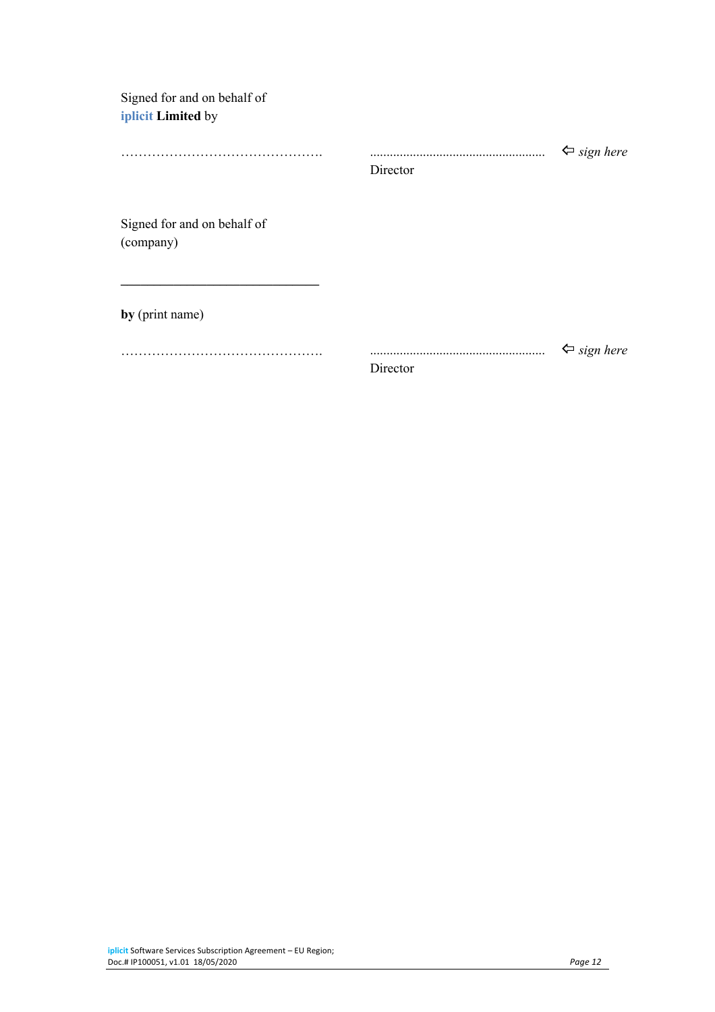| Signed for and on behalf of |
|-----------------------------|
| iplicit Limited by          |

|                             |          | $\Leftrightarrow$ sign here |  |
|-----------------------------|----------|-----------------------------|--|
|                             | Director |                             |  |
|                             |          |                             |  |
| Signed for and on behalf of |          |                             |  |
| (company)                   |          |                             |  |
|                             |          |                             |  |
|                             |          |                             |  |
|                             |          |                             |  |
| by (print name)             |          |                             |  |
|                             |          | $\Leftrightarrow$ sign here |  |
|                             | Director |                             |  |
|                             |          |                             |  |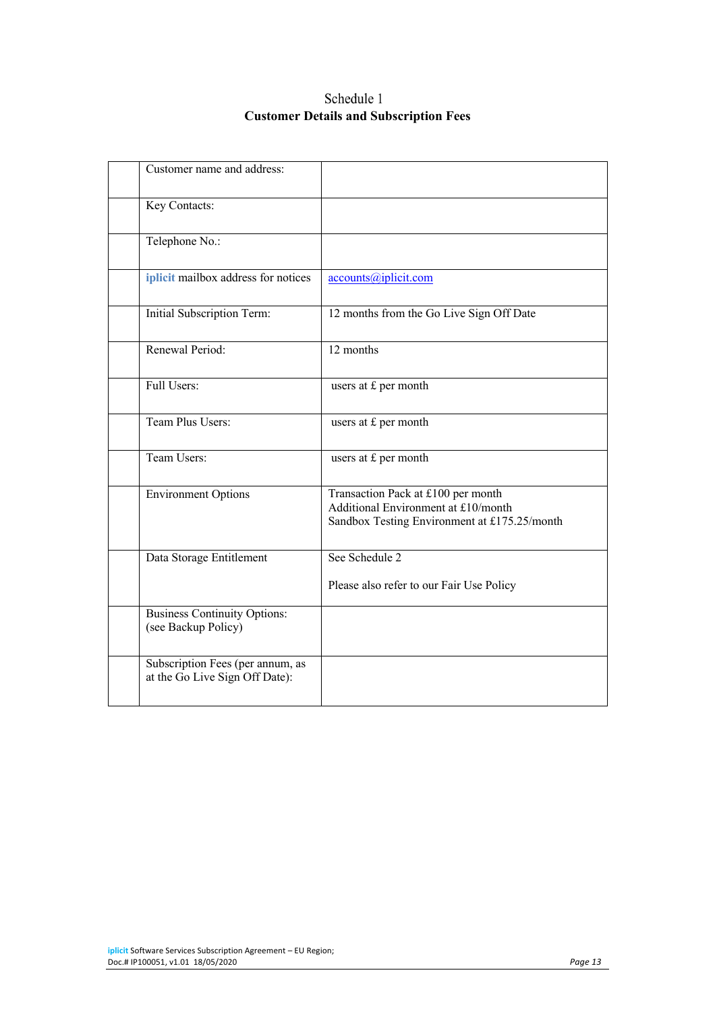# Schedule 1 **Customer Details and Subscription Fees**

| Customer name and address:                                         |                                                                                                                           |
|--------------------------------------------------------------------|---------------------------------------------------------------------------------------------------------------------------|
| Key Contacts:                                                      |                                                                                                                           |
| Telephone No.:                                                     |                                                                                                                           |
| iplicit mailbox address for notices                                | accounts@iplicit.com                                                                                                      |
| Initial Subscription Term:                                         | 12 months from the Go Live Sign Off Date                                                                                  |
| Renewal Period:                                                    | 12 months                                                                                                                 |
| Full Users:                                                        | users at £ per month                                                                                                      |
| Team Plus Users:                                                   | users at £ per month                                                                                                      |
| Team Users:                                                        | users at £ per month                                                                                                      |
| <b>Environment Options</b>                                         | Transaction Pack at £100 per month<br>Additional Environment at £10/month<br>Sandbox Testing Environment at £175.25/month |
| Data Storage Entitlement                                           | See Schedule 2<br>Please also refer to our Fair Use Policy                                                                |
| <b>Business Continuity Options:</b><br>(see Backup Policy)         |                                                                                                                           |
| Subscription Fees (per annum, as<br>at the Go Live Sign Off Date): |                                                                                                                           |